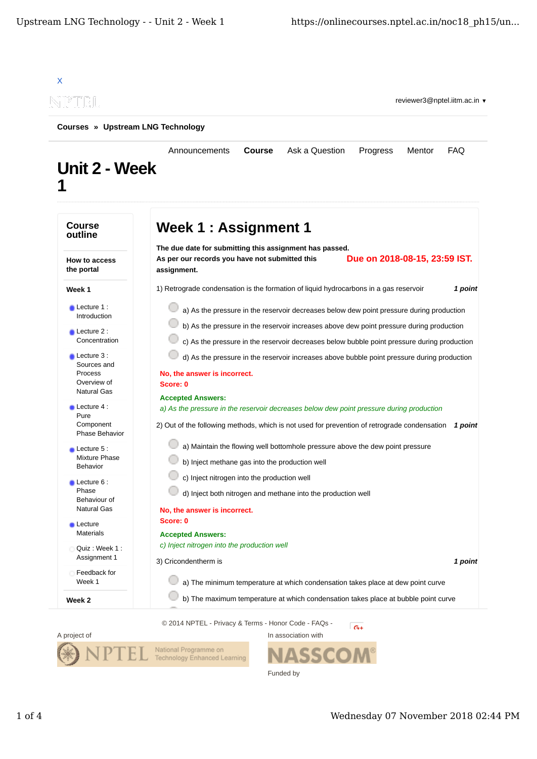



Funded by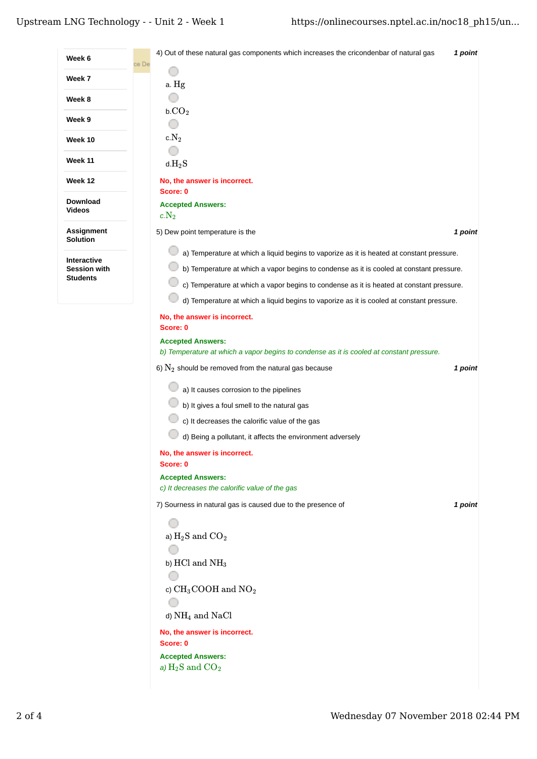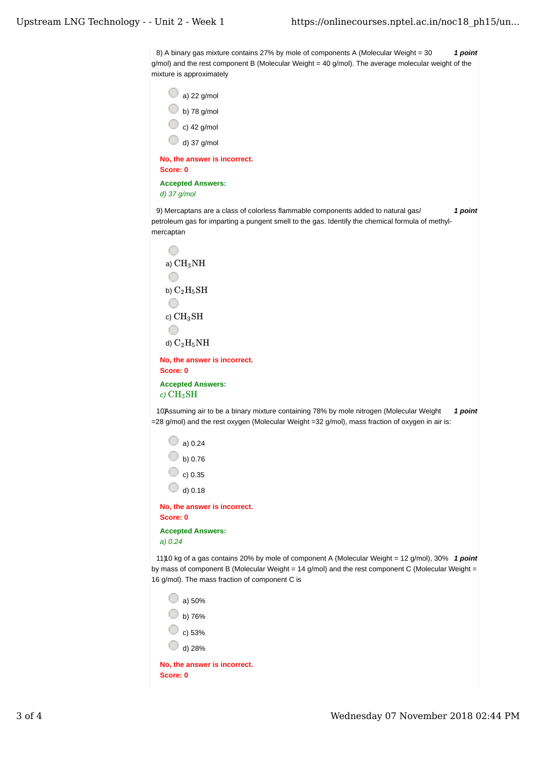8) A binary gas mixture contains 27% by mole of components A (Molecular Weight = 30  $\quad$  **1 point** g/mol) and the rest component B (Molecular Weight = 40 g/mol). The average molecular weight of the mixture is approximately

| a) $22$ g/mol                |  |
|------------------------------|--|
| b) 78 g/mol                  |  |
| c) 42 g/mol                  |  |
| d) 37 g/mol                  |  |
| No, the answer is incorrect. |  |
| Score: 0                     |  |

**Accepted Answers:**

*d) 37 g/mol*

9) *1 point* Mercaptans are a class of colorless flammable components added to natural gas/ petroleum gas for imparting a pungent smell to the gas. Identify the chemical formula of methylmercaptan

```
O
  a) \rm CH_{3}NHO
  b) \rm{C_2H_5SH}O
  c) \rm CH_{3}SHO
  d) \rm{C_2H_5NH}No, the answer is incorrect.
Score: 0
Accepted Answers:
c) 
CH3SH
```
10) Assuming air to be a binary mixture containing 78% by mole nitrogen (Molecular Weight 1 point =28 g/mol) and the rest oxygen (Molecular Weight =32 g/mol), mass fraction of oxygen in air is:

```
\bigcirc a) 0.24
   \circ b) 0.76
   \circ c) 0.35
   \bigcirc d) 0.18
No, the answer is incorrect.
Score: 0
```
**Accepted Answers:** *a) 0.24*

11)10 kg of a gas contains 20% by mole of component A (Molecular Weight = 12 g/mol), 30% 1 point by mass of component B (Molecular Weight = 14 g/mol) and the rest component C (Molecular Weight = 16 g/mol). The mass fraction of component C is

| No, the answer is incorrect. |
|------------------------------|
| d) 28%                       |
| c) 53%                       |
| b) 76%                       |
| a) 50%                       |

**Score: 0**